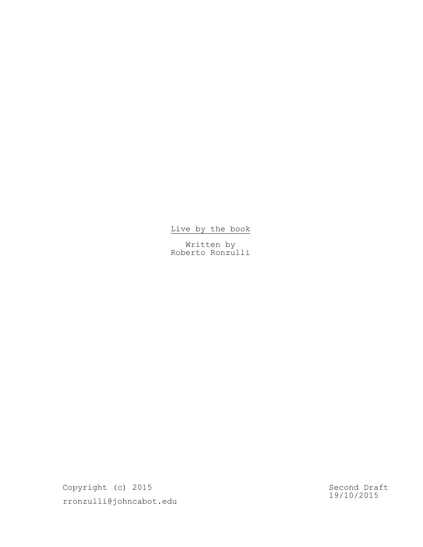# Live by the book

Written by Roberto Ronzulli

Copyright (c) 2015 rronzulli@johncabot.edu

Second Draft 19/10/2015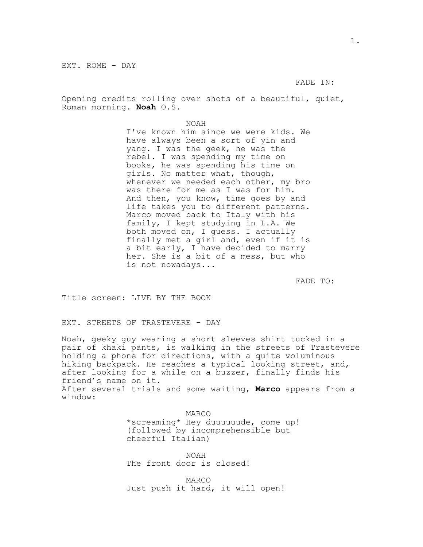EXT. ROME - DAY

FADE IN:

Opening credits rolling over shots of a beautiful, quiet, Roman morning. **Noah** O.S.

NOAH

I've known him since we were kids. We have always been a sort of yin and yang. I was the geek, he was the rebel. I was spending my time on books, he was spending his time on girls. No matter what, though, whenever we needed each other, my bro was there for me as I was for him. And then, you know, time goes by and life takes you to different patterns. Marco moved back to Italy with his family, I kept studying in L.A. We both moved on, I guess. I actually finally met a girl and, even if it is a bit early, I have decided to marry her. She is a bit of a mess, but who is not nowadays...

FADE TO:

Title screen: LIVE BY THE BOOK

EXT. STREETS OF TRASTEVERE - DAY

Noah, geeky guy wearing a short sleeves shirt tucked in a pair of khaki pants, is walking in the streets of Trastevere holding a phone for directions, with a quite voluminous hiking backpack. He reaches a typical looking street, and, after looking for a while on a buzzer, finally finds his friend's name on it. After several trials and some waiting, **Marco** appears from a window:

> MARCO \*screaming\* Hey duuuuuude, come up! (followed by incomprehensible but cheerful Italian)

NOAH The front door is closed!

MARCO Just push it hard, it will open!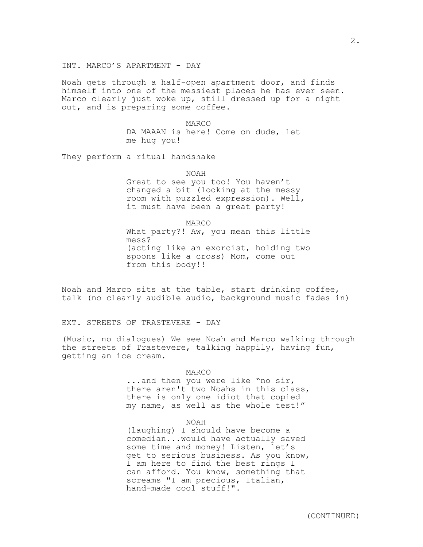Noah gets through a half-open apartment door, and finds himself into one of the messiest places he has ever seen. Marco clearly just woke up, still dressed up for a night out, and is preparing some coffee.

> MARCO DA MAAAN is here! Come on dude, let me hug you!

They perform a ritual handshake

NOAH

Great to see you too! You haven't changed a bit (looking at the messy room with puzzled expression). Well, it must have been a great party!

MARCO

What party?! Aw, you mean this little mess? (acting like an exorcist, holding two spoons like a cross) Mom, come out from this body!!

Noah and Marco sits at the table, start drinking coffee, talk (no clearly audible audio, background music fades in)

EXT. STREETS OF TRASTEVERE - DAY

(Music, no dialogues) We see Noah and Marco walking through the streets of Trastevere, talking happily, having fun, getting an ice cream.

#### MARCO

...and then you were like "no sir, there aren't two Noahs in this class, there is only one idiot that copied my name, as well as the whole test!"

#### NOAH

(laughing) I should have become a comedian...would have actually saved some time and money! Listen, let's get to serious business. As you know, I am here to find the best rings I can afford. You know, something that screams "I am precious, Italian, hand-made cool stuff!".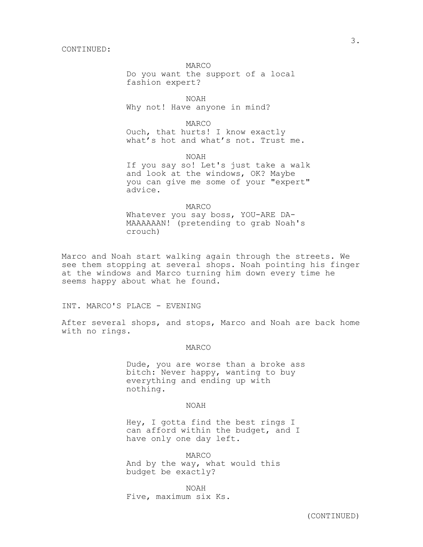MARCO

Do you want the support of a local fashion expert?

NOAH Why not! Have anyone in mind?

MARCO Ouch, that hurts! I know exactly what's hot and what's not. Trust me.

NOAH

If you say so! Let's just take a walk and look at the windows, OK? Maybe you can give me some of your "expert" advice.

#### MARCO

Whatever you say boss, YOU-ARE DA-MAAAAAAN! (pretending to grab Noah's crouch)

Marco and Noah start walking again through the streets. We see them stopping at several shops. Noah pointing his finger at the windows and Marco turning him down every time he seems happy about what he found.

INT. MARCO'S PLACE - EVENING

After several shops, and stops, Marco and Noah are back home with no rings.

#### MARCO

Dude, you are worse than a broke ass bitch: Never happy, wanting to buy everything and ending up with nothing.

#### NOAH

Hey, I gotta find the best rings I can afford within the budget, and I have only one day left.

MARCO And by the way, what would this budget be exactly?

NOAH Five, maximum six Ks.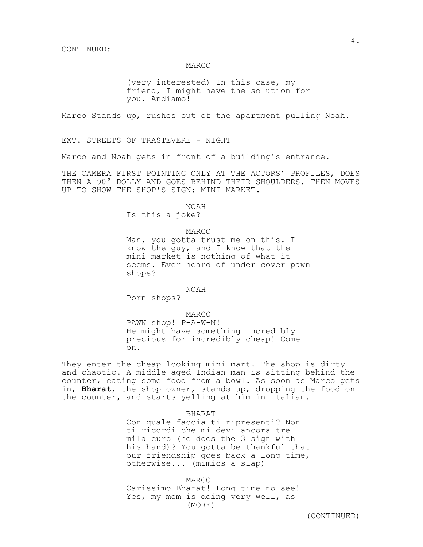#### MARCO

(very interested) In this case, my friend, I might have the solution for you. Andiamo!

Marco Stands up, rushes out of the apartment pulling Noah.

EXT. STREETS OF TRASTEVERE - NIGHT

Marco and Noah gets in front of a building's entrance.

THE CAMERA FIRST POINTING ONLY AT THE ACTORS' PROFILES, DOES THEN A 90° DOLLY AND GOES BEHIND THEIR SHOULDERS. THEN MOVES UP TO SHOW THE SHOP'S SIGN: MINI MARKET.

> NOAH Is this a joke?

> > MARCO

Man, you gotta trust me on this. I know the guy, and I know that the mini market is nothing of what it seems. Ever heard of under cover pawn shops?

NOAH

Porn shops?

MARCO

PAWN shop! P-A-W-N! He might have something incredibly precious for incredibly cheap! Come on.

They enter the cheap looking mini mart. The shop is dirty and chaotic. A middle aged Indian man is sitting behind the counter, eating some food from a bowl. As soon as Marco gets in, **Bharat**, the shop owner, stands up, dropping the food on the counter, and starts yelling at him in Italian.

#### BHARAT

Con quale faccia ti ripresenti? Non ti ricordi che mi devi ancora tre mila euro (he does the 3 sign with his hand)? You gotta be thankful that our friendship goes back a long time, otherwise... (mimics a slap)

MARCO Carissimo Bharat! Long time no see! Yes, my mom is doing very well, as (MORE)

4.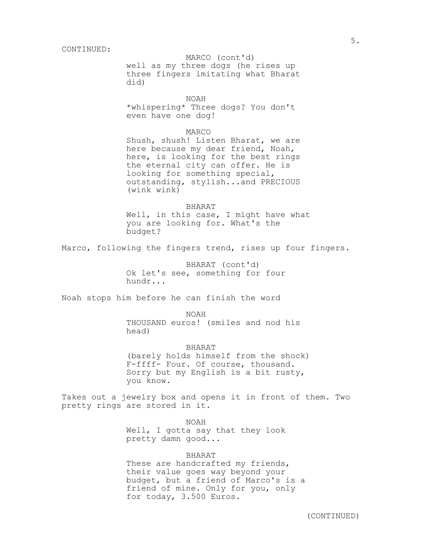well as my three dogs (he rises up MARCO (cont'd) three fingers imitating what Bharat did)

## NOAH

\*whispering\* Three dogs? You don't even have one dog!

## MARCO

Shush, shush! Listen Bharat, we are here because my dear friend, Noah, here, is looking for the best rings the eternal city can offer. He is looking for something special, outstanding, stylish...and PRECIOUS (wink wink)

#### BHARAT

Well, in this case, I might have what you are looking for. What's the budget?

Marco, following the fingers trend, rises up four fingers.

BHARAT (cont'd) Ok let's see, something for four hundr...

Noah stops him before he can finish the word

NOAH THOUSAND euros! (smiles and nod his head)

BHARAT (barely holds himself from the shock) F-ffff- Four. Of course, thousand. Sorry but my English is a bit rusty, you know.

Takes out a jewelry box and opens it in front of them. Two pretty rings are stored in it.

NOAH

Well, I gotta say that they look pretty damn good...

## BHARAT

These are handcrafted my friends, their value goes way beyond your budget, but a friend of Marco's is a friend of mine. Only for you, only for today, 3.500 Euros.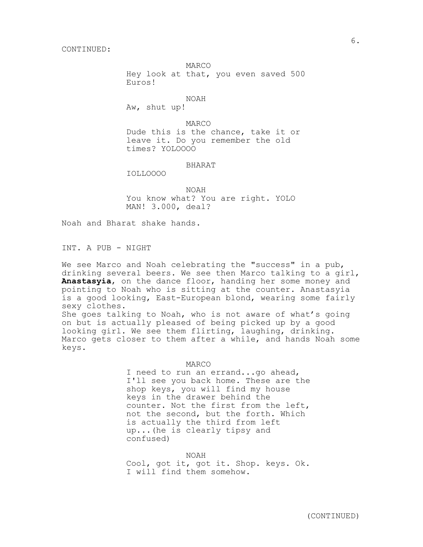MARCO

Hey look at that, you even saved 500 Euros!

NOAH

Aw, shut up!

MARCO Dude this is the chance, take it or leave it. Do you remember the old times? YOLOOOO

#### BHARAT

IOLLOOOO

NOAH You know what? You are right. YOLO MAN! 3.000, deal?

Noah and Bharat shake hands.

INT. A PUB - NIGHT

We see Marco and Noah celebrating the "success" in a pub, drinking several beers. We see then Marco talking to a girl, **Anastasyia**, on the dance floor, handing her some money and pointing to Noah who is sitting at the counter. Anastasyia is a good looking, East-European blond, wearing some fairly sexy clothes. She goes talking to Noah, who is not aware of what's going on but is actually pleased of being picked up by a good

looking girl. We see them flirting, laughing, drinking. Marco gets closer to them after a while, and hands Noah some keys.

MARCO

I need to run an errand...go ahead, I'll see you back home. These are the shop keys, you will find my house keys in the drawer behind the counter. Not the first from the left, not the second, but the forth. Which is actually the third from left up...(he is clearly tipsy and confused)

NOAH

Cool, got it, got it. Shop. keys. Ok. I will find them somehow.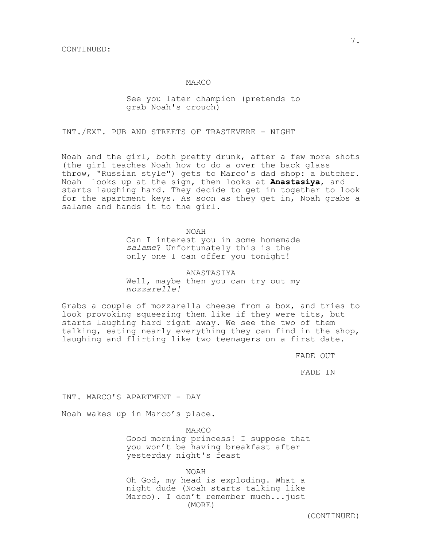#### MARCO

## See you later champion (pretends to grab Noah's crouch)

INT./EXT. PUB AND STREETS OF TRASTEVERE - NIGHT

Noah and the girl, both pretty drunk, after a few more shots (the girl teaches Noah how to do a over the back glass throw, "Russian style") gets to Marco's dad shop: a butcher. Noah looks up at the sign, then looks at **Anastasiya**, and starts laughing hard. They decide to get in together to look for the apartment keys. As soon as they get in, Noah grabs a salame and hands it to the girl.

NOAH

Can I interest you in some homemade *salame*? Unfortunately this is the only one I can offer you tonight!

ANASTASIYA Well, maybe then you can try out my *mozzarelle!*

Grabs a couple of mozzarella cheese from a box, and tries to look provoking squeezing them like if they were tits, but starts laughing hard right away. We see the two of them talking, eating nearly everything they can find in the shop, laughing and flirting like two teenagers on a first date.

FADE OUT

FADE IN

INT. MARCO'S APARTMENT - DAY

Noah wakes up in Marco's place.

MARCO Good morning princess! I suppose that you won't be having breakfast after yesterday night's feast

NOAH

Oh God, my head is exploding. What a night dude (Noah starts talking like Marco). I don't remember much...just (MORE)

(CONTINUED)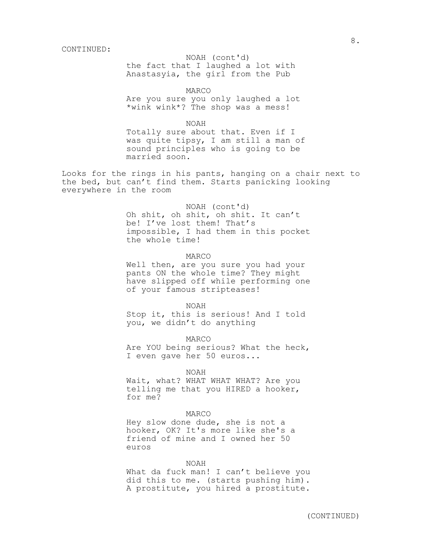the fact that I laughed a lot with NOAH (cont'd) Anastasyia, the girl from the Pub

MARCO

Are you sure you only laughed a lot \*wink wink\*? The shop was a mess!

NOAH

Totally sure about that. Even if I was quite tipsy, I am still a man of sound principles who is going to be married soon.

Looks for the rings in his pants, hanging on a chair next to the bed, but can't find them. Starts panicking looking everywhere in the room

#### NOAH (cont'd)

Oh shit, oh shit, oh shit. It can't be! I've lost them! That's impossible, I had them in this pocket the whole time!

MARCO

Well then, are you sure you had your pants ON the whole time? They might have slipped off while performing one of your famous stripteases!

NOAH

Stop it, this is serious! And I told you, we didn't do anything

MARCO

Are YOU being serious? What the heck, I even gave her 50 euros...

NOAH

Wait, what? WHAT WHAT WHAT? Are you telling me that you HIRED a hooker, for me?

## MARCO

Hey slow done dude, she is not a hooker, OK? It's more like she's a friend of mine and I owned her 50 euros

## NOAH

What da fuck man! I can't believe you did this to me. (starts pushing him). A prostitute, you hired a prostitute.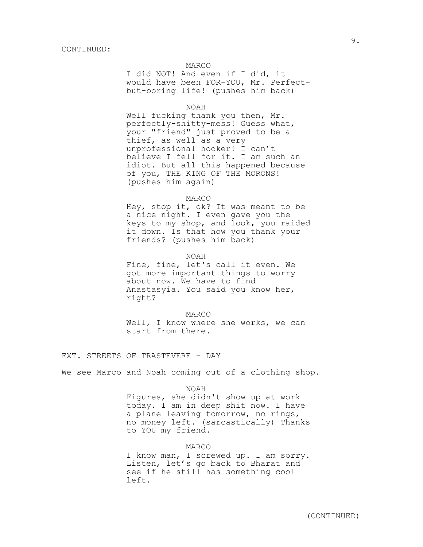## MARCO

I did NOT! And even if I did, it would have been FOR-YOU, Mr. Perfectbut-boring life! (pushes him back)

#### NOAH

Well fucking thank you then, Mr. perfectly-shitty-mess! Guess what, your "friend" just proved to be a thief, as well as a very unprofessional hooker! I can't believe I fell for it. I am such an idiot. But all this happened because of you, THE KING OF THE MORONS! (pushes him again)

#### MARCO

Hey, stop it, ok? It was meant to be a nice night. I even gave you the keys to my shop, and look, you raided it down. Is that how you thank your friends? (pushes him back)

#### NOAH

Fine, fine, let's call it even. We got more important things to worry about now. We have to find Anastasyia. You said you know her, right?

MARCO

Well, I know where she works, we can start from there.

EXT. STREETS OF TRASTEVERE – DAY

We see Marco and Noah coming out of a clothing shop.

NOAH

Figures, she didn't show up at work today. I am in deep shit now. I have a plane leaving tomorrow, no rings, no money left. (sarcastically) Thanks to YOU my friend.

MARCO

I know man, I screwed up. I am sorry. Listen, let's go back to Bharat and see if he still has something cool left.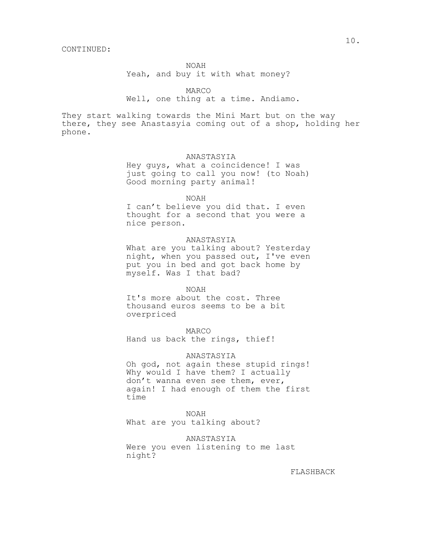Yeah, and buy it with what money?

MARCO

## Well, one thing at a time. Andiamo.

They start walking towards the Mini Mart but on the way there, they see Anastasyia coming out of a shop, holding her phone.

## ANASTASYIA

Hey guys, what a coincidence! I was just going to call you now! (to Noah) Good morning party animal!

#### NOAH

I can't believe you did that. I even thought for a second that you were a nice person.

## ANASTASYIA

What are you talking about? Yesterday night, when you passed out, I've even put you in bed and got back home by myself. Was I that bad?

#### NOAH

It's more about the cost. Three thousand euros seems to be a bit overpriced

MARCO Hand us back the rings, thief!

ANASTASYIA Oh god, not again these stupid rings! Why would I have them? I actually don't wanna even see them, ever, again! I had enough of them the first time

NOAH What are you talking about?

ANASTASYIA Were you even listening to me last night?

FLASHBACK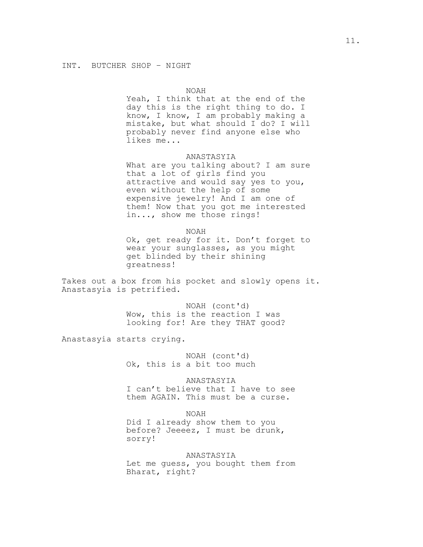Yeah, I think that at the end of the day this is the right thing to do. I know, I know, I am probably making a mistake, but what should I do? I will probably never find anyone else who likes me...

## ANASTASYIA

What are you talking about? I am sure that a lot of girls find you attractive and would say yes to you, even without the help of some expensive jewelry! And I am one of them! Now that you got me interested in..., show me those rings!

NOAH

Ok, get ready for it. Don't forget to wear your sunglasses, as you might get blinded by their shining greatness!

Takes out a box from his pocket and slowly opens it. Anastasyia is petrified.

> NOAH (cont'd) Wow, this is the reaction I was looking for! Are they THAT good?

Anastasyia starts crying.

NOAH (cont'd) Ok, this is a bit too much

ANASTASYIA

I can't believe that I have to see them AGAIN. This must be a curse.

NOAH

Did I already show them to you before? Jeeeez, I must be drunk, sorry!

## ANASTASYIA

Let me guess, you bought them from Bharat, right?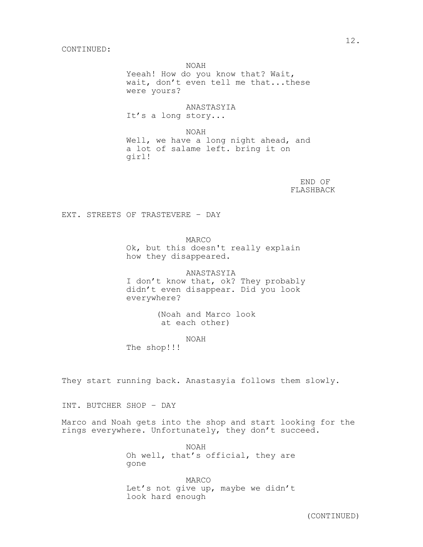Yeeah! How do you know that? Wait, wait, don't even tell me that...these were yours?

ANASTASYIA It's a long story...

NOAH Well, we have a long night ahead, and a lot of salame left. bring it on girl!

> END OF FLASHBACK

EXT. STREETS OF TRASTEVERE – DAY

MARCO Ok, but this doesn't really explain how they disappeared.

ANASTASYIA I don't know that, ok? They probably didn't even disappear. Did you look everywhere?

> (Noah and Marco look at each other)

> > NOAH

The shop!!!

They start running back. Anastasyia follows them slowly.

INT. BUTCHER SHOP – DAY

Marco and Noah gets into the shop and start looking for the rings everywhere. Unfortunately, they don't succeed.

> NOAH Oh well, that's official, they are gone

> MARCO Let's not give up, maybe we didn't look hard enough

(CONTINUED)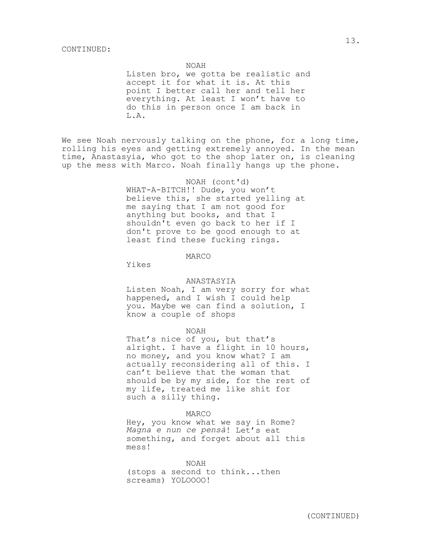Listen bro, we gotta be realistic and accept it for what it is. At this point I better call her and tell her everything. At least I won't have to do this in person once I am back in L.A.

We see Noah nervously talking on the phone, for a long time, rolling his eyes and getting extremely annoyed. In the mean time, Anastasyia, who got to the shop later on, is cleaning up the mess with Marco. Noah finally hangs up the phone.

#### NOAH (cont'd)

WHAT-A-BITCH!! Dude, you won't believe this, she started yelling at me saying that I am not good for anything but books, and that I shouldn't even go back to her if I don't prove to be good enough to at least find these fucking rings.

#### MARCO

Yikes

#### ANASTASYIA

Listen Noah, I am very sorry for what happened, and I wish I could help you. Maybe we can find a solution, I know a couple of shops

#### NOAH

That's nice of you, but that's alright. I have a flight in 10 hours, no money, and you know what? I am actually reconsidering all of this. I can't believe that the woman that should be by my side, for the rest of my life, treated me like shit for such a silly thing.

#### MARCO

Hey, you know what we say in Rome? *Magna e nun ce pensà*! Let's eat something, and forget about all this mess!

NOAH (stops a second to think...then screams) YOLOOOO!